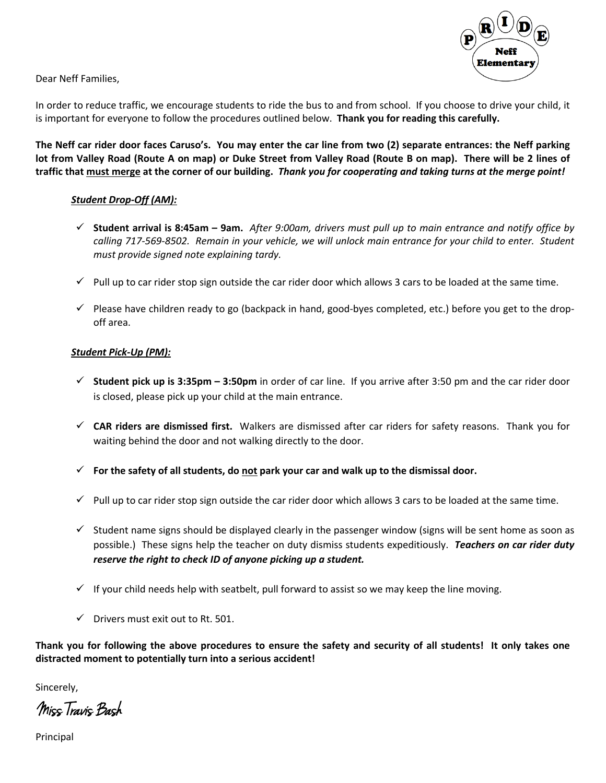

Dear Neff Families,

In order to reduce traffic, we encourage students to ride the bus to and from school. If you choose to drive your child, it is important for everyone to follow the procedures outlined below. **Thank you for reading this carefully.**

**The Neff car rider door faces Caruso's. You may enter the car line from two (2) separate entrances: the Neff parking lot from Valley Road (Route A on map) or Duke Street from Valley Road (Route B on map). There will be 2 lines of traffic that must merge at the corner of our building.** *Thank you for cooperating and taking turns at the merge point!*

## *Student Drop-Off (AM):*

- ü **Student arrival is 8:45am – 9am.** *After 9:00am, drivers must pull up to main entrance and notify office by calling 717-569-8502. Remain in your vehicle, we will unlock main entrance for your child to enter. Student must provide signed note explaining tardy.*
- $\checkmark$  Pull up to car rider stop sign outside the car rider door which allows 3 cars to be loaded at the same time.
- $\checkmark$  Please have children ready to go (backpack in hand, good-byes completed, etc.) before you get to the dropoff area.

## *Student Pick-Up (PM):*

- ü **Student pick up is 3:35pm – 3:50pm** in order of car line. If you arrive after 3:50 pm and the car rider door is closed, please pick up your child at the main entrance.
- ü **CAR riders are dismissed first.** Walkers are dismissed after car riders for safety reasons. Thank you for waiting behind the door and not walking directly to the door.
- ü **For the safety of all students, do not park your car and walk up to the dismissal door.**
- $\checkmark$  Pull up to car rider stop sign outside the car rider door which allows 3 cars to be loaded at the same time.
- $\checkmark$  Student name signs should be displayed clearly in the passenger window (signs will be sent home as soon as possible.) These signs help the teacher on duty dismiss students expeditiously. *Teachers on car rider duty reserve the right to check ID of anyone picking up a student.*
- $\checkmark$  If your child needs help with seatbelt, pull forward to assist so we may keep the line moving.
- $\checkmark$  Drivers must exit out to Rt. 501.

**Thank you for following the above procedures to ensure the safety and security of all students! It only takes one distracted moment to potentially turn into a serious accident!**

Sincerely,

Miss Travis Bash

Principal